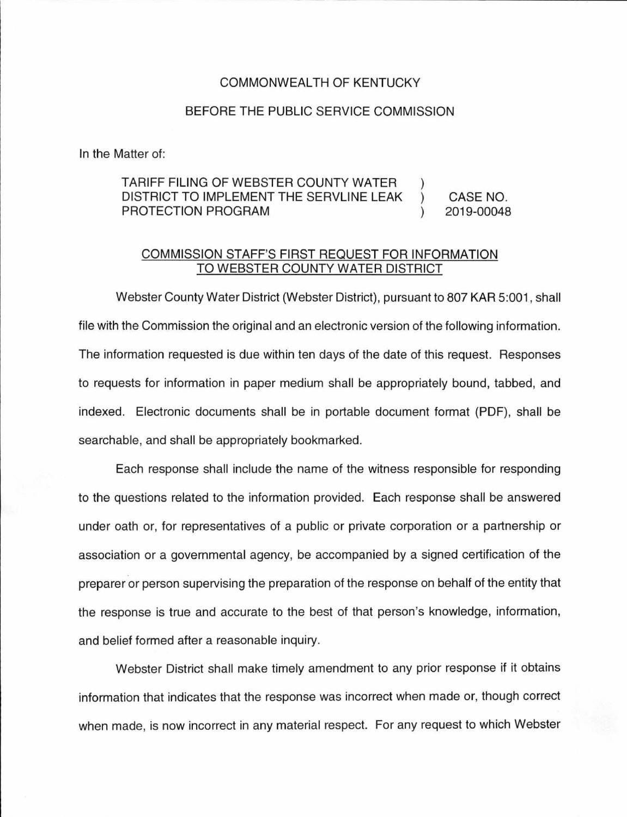## COMMONWEALTH OF KENTUCKY

## BEFORE THE PUBLIC SERVICE COMMISSION

In the Matter of:

## TARIFF FILING OF WEBSTER COUNTY WATER DISTRICT TO IMPLEMENT THE SERVLINE LEAK PROTECTION PROGRAM CASE NO. 2019-00048

## COMMISSION STAFF'S FIRST REQUEST FOR INFORMATION TO WEBSTER COUNTY WATER DISTRICT

Webster County Water District (Webster District), pursuant to 807 KAR 5:001 , shall file with the Commission the original and an electronic version of the following information. The information requested is due within ten days of the date of this request. Responses to requests for information in paper medium shall be appropriately bound, tabbed, and indexed. Electronic documents shall be in portable document format (PDF), shall be searchable, and shall be appropriately bookmarked.

Each response shall include the name of the witness responsible for responding to the questions related to the information provided. Each response shall be answered under oath or, for representatives of a public or private corporation or a partnership or association or a governmental agency, be accompanied by a signed certification of the preparer or person supervising the preparation of the response on behalf of the entity that the response is true and accurate to the best of that person's knowledge, information, and belief formed after a reasonable inquiry.

Webster District shall make timely amendment to any prior response if it obtains information that indicates that the response was incorrect when made or, though correct when made, is now incorrect in any material respect. For any request to which Webster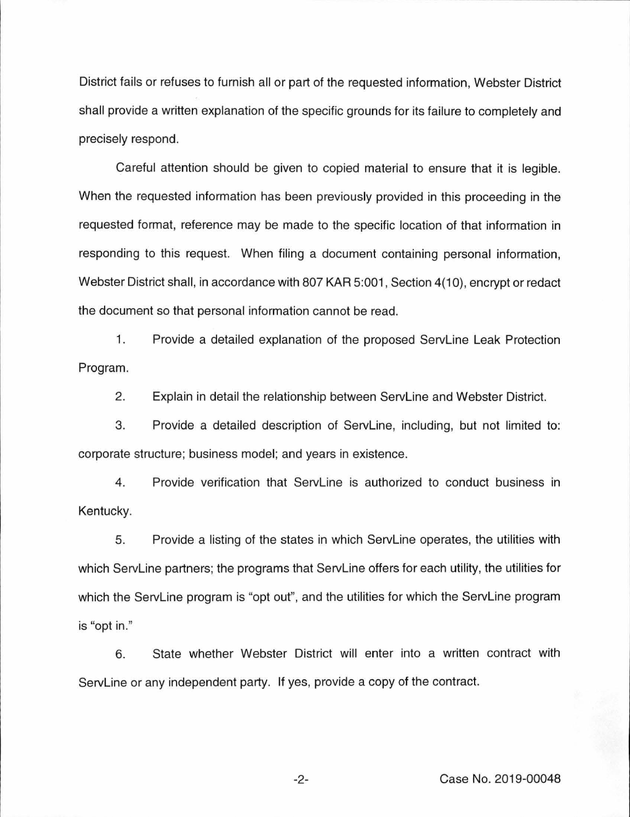District fails or refuses to furnish all or part of the requested information, Webster District shall provide a written explanation of the specific grounds for its failure to completely and precisely respond.

Careful attention should be given to copied material to ensure that it is legible. When the requested information has been previously provided in this proceeding in the requested format, reference may be made to the specific location of that information in responding to this request. When filing a document containing personal information, Webster District shall, in accordance with 807 KAR 5:001, Section 4(10), encrypt or redact the document so that personal information cannot be read.

1. Provide a detailed explanation of the proposed Servline Leak Protection Program.

2. Explain in detail the relationship between Servline and Webster District.

3. Provide a detailed description of Servline, including, but not limited to: corporate structure; business model; and years in existence.

4. Provide verification that Servline is authorized to conduct business in Kentucky.

5. Provide a listing of the states in which Servline operates, the utilities with which Servline partners; the programs that Servline offers for each utility, the utilities for which the ServLine program is "opt out", and the utilities for which the ServLine program is "opt in."

6. State whether Webster District will enter into a written contract with Servline or any independent party. If yes, provide a copy of the contract.

-2- Case No. 2019-00048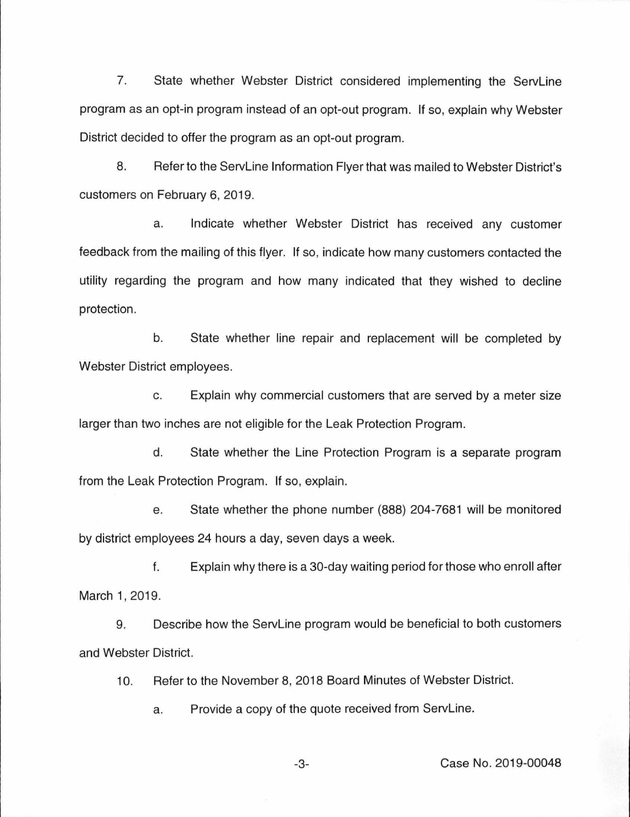7. State whether Webster District considered implementing the ServLine program as an opt-in program instead of an opt-out program. If so, explain why Webster District decided to offer the program as an opt-out program.

8. Refer to the ServLine Information Flyer that was mailed to Webster District's customers on February 6, 2019.

a. Indicate whether Webster District has received any customer feedback from the mailing of this flyer. If so, indicate how many customers contacted the utility regarding the program and how many indicated that they wished to decline protection.

b. State whether line repair and replacement will be completed by Webster District employees.

c. Explain why commercial customers that are served by a meter size larger than two inches are not eligible for the Leak Protection Program.

d. State whether the Line Protection Program is a separate program from the Leak Protection Program. If so, explain.

e. State whether the phone number (888) 204-7681 will be monitored by district employees 24 hours a day, seven days a week.

f. Explain why there is a 30-day waiting period for those who enroll after March 1, 2019.

9. Describe how the Servline program would be beneficial to both customers and Webster District.

10. Refer to the November 8, 2018 Board Minutes of Webster District.

a. Provide a copy of the quote received from ServLine.

-3- Case No. 2019-00048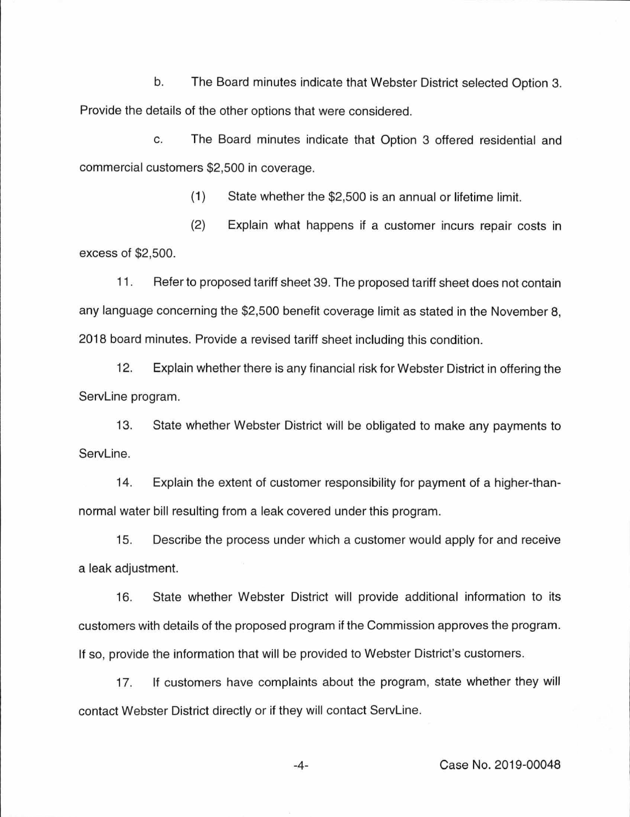b. The Board minutes indicate that Webster District selected Option 3. Provide the details of the other options that were considered.

c. The Board minutes indicate that Option 3 offered residential and commercial customers \$2,500 in coverage.

(1) State whether the \$2,500 is an annual or lifetime limit.

(2) Explain what happens if a customer incurs repair costs in excess of \$2,500.

11 . Refer to proposed tariff sheet 39. The proposed tariff sheet does not contain any language concerning the \$2,500 benefit coverage limit as stated in the November 8, 2018 board minutes. Provide a revised tariff sheet including this condition.

12. Explain whether there is any financial risk for Webster District in offering the Servline program.

13. State whether Webster District will be obligated to make any payments to ServLine.

14. Explain the extent of customer responsibility for payment of a higher-thannormal water bill resulting from a leak covered under this program.

15. Describe the process under which a customer would apply for and receive a leak adjustment.

16. State whether Webster District will provide additional information to its customers with details of the proposed program if the Commission approves the program. If so, provide the information that will be provided to Webster District's customers.

17. If customers have complaints about the program, state whether they will contact Webster District directly or if they will contact Servline.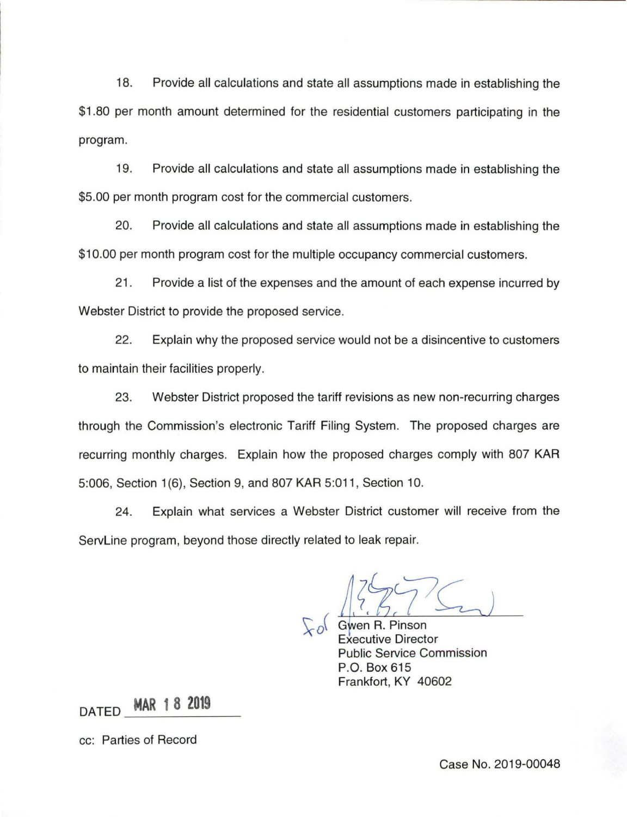18. Provide all calculations and state all assumptions made in establishing the \$1 .80 per month amount determined for the residential customers participating in the program.

19. Provide all calculations and state all assumptions made in establishing the \$5.00 per month program cost for the commercial customers.

20. Provide all calculations and state all assumptions made in establishing the \$10.00 per month program cost for the multiple occupancy commercial customers.

21. Provide a list of the expenses and the amount of each expense incurred by Webster District to provide the proposed service.

22. Explain why the proposed service would not be a disincentive to customers to maintain their facilities properly.

23. Webster District proposed the tariff revisions as new non-recurring charges through the Commission's electronic Tariff Filing System. The proposed charges are recurring monthly charges. Explain how the proposed charges comply with 807 KAR 5:006, Section 1 (6), Section 9, and 807 KAR 5:011 , Section 10.

24. Explain what services a Webster District customer will receive from the ServLine program, beyond those directly related to leak repair.

Gwen R. Pinson Executive Director Public Service Commission P.O. Box 615 Frankfort, KY 40602

DATED **MAR 1 8 2019** 

cc: Parties of Record

Case No. 2019-00048